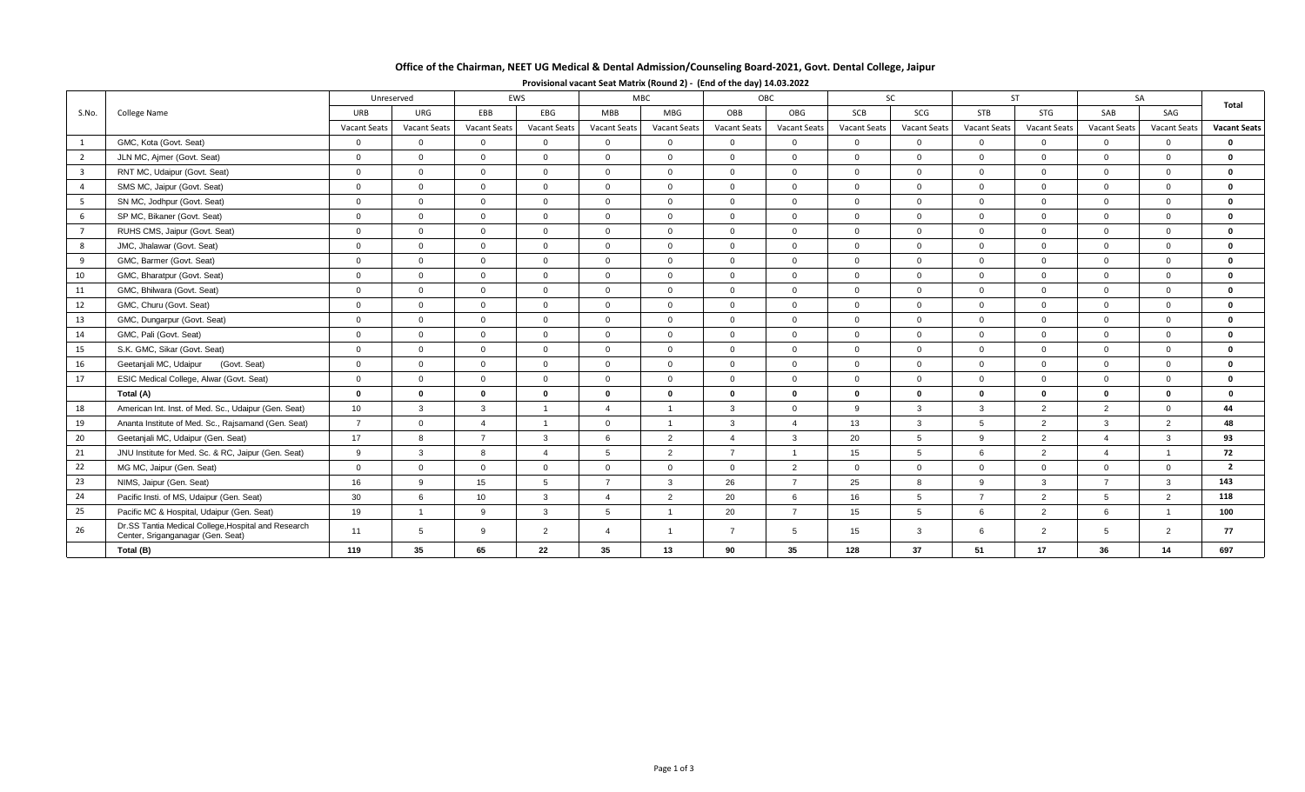## **Office of the Chairman, NEET UG Medical & Dental Admission/Counseling Board-2021, Govt. Dental College, Jaipur**

|                         | College Name                                                                             | EWS<br>Unreserved   |                     |                     | MBC                    |                 | OBC                 |                | SC              |                     | <b>ST</b>           |                | SA                  |                        | Total               |                     |
|-------------------------|------------------------------------------------------------------------------------------|---------------------|---------------------|---------------------|------------------------|-----------------|---------------------|----------------|-----------------|---------------------|---------------------|----------------|---------------------|------------------------|---------------------|---------------------|
| S.No.                   |                                                                                          | URB                 | URG                 | EBB                 | EBG                    | <b>MBB</b>      | MBG                 | OBB            | OBG             | SCB                 | SCG                 | <b>STB</b>     | STG                 | SAB                    | SAG                 |                     |
|                         |                                                                                          | <b>Vacant Seats</b> | <b>Vacant Seats</b> | <b>Vacant Seats</b> | <b>Vacant Seats</b>    | Vacant Seats    | <b>Vacant Seats</b> | Vacant Seats   | Vacant Seats    | <b>Vacant Seats</b> | <b>Vacant Seats</b> | Vacant Seats   | <b>Vacant Seats</b> | <b>Vacant Seats</b>    | <b>Vacant Seats</b> | <b>Vacant Seats</b> |
| <sup>1</sup>            | GMC, Kota (Govt. Seat)                                                                   | $\overline{0}$      | $\overline{0}$      | $\Omega$            | $\Omega$               | $\Omega$        | $\Omega$            | $\overline{0}$ | $\overline{0}$  | $\overline{0}$      | $\Omega$            | $\Omega$       | $\Omega$            | $\Omega$               | $\overline{0}$      | $\mathbf 0$         |
| $\overline{2}$          | JLN MC, Ajmer (Govt. Seat)                                                               | $\Omega$            | $\overline{0}$      | $\Omega$            | $\Omega$               | $\Omega$        | $\Omega$            | $\Omega$       | $\overline{0}$  | $\Omega$            | $\Omega$            | $\Omega$       | $\Omega$            | $\Omega$               | $\Omega$            | $\mathbf 0$         |
| $\overline{\mathbf{3}}$ | RNT MC, Udaipur (Govt. Seat)                                                             | $\overline{0}$      | $\overline{0}$      | $\Omega$            | $\Omega$               | $\Omega$        | $\Omega$            | $\Omega$       | $\overline{0}$  | $\Omega$            | $\Omega$            | $\Omega$       | $\Omega$            | $\Omega$               | $\Omega$            | $\mathbf 0$         |
| $\overline{a}$          | SMS MC, Jaipur (Govt. Seat)                                                              | $\overline{0}$      | $\overline{0}$      | $\overline{0}$      | $\overline{0}$         | $\mathbf{0}$    | $\Omega$            | $\overline{0}$ | $\overline{0}$  | $\overline{0}$      | $\Omega$            | $\Omega$       | $\Omega$            | $\overline{0}$         | $\mathbf{0}$        | $\mathbf 0$         |
| 5                       | SN MC, Jodhpur (Govt. Seat)                                                              | $\overline{0}$      | $\overline{0}$      | $\overline{0}$      | $\Omega$               | $\Omega$        | $\Omega$            | $\Omega$       | $\mathbf{0}$    | $\Omega$            | $\Omega$            | $\Omega$       | $\Omega$            | $\overline{0}$         | $\mathbf{0}$        | $\mathbf 0$         |
| 6                       | SP MC, Bikaner (Govt. Seat)                                                              | $\overline{0}$      | $\Omega$            | $\Omega$            | $\Omega$               | $\Omega$        | $\Omega$            | $\Omega$       | $\Omega$        | $\Omega$            | $\Omega$            | $\Omega$       | $\Omega$            | $\Omega$               | $\Omega$            | $\mathbf{0}$        |
| $\overline{7}$          | RUHS CMS, Jaipur (Govt. Seat)                                                            | $\overline{0}$      | $\Omega$            | $\Omega$            | $\Omega$               | $\Omega$        | $\Omega$            | $\Omega$       | $\Omega$        | $\Omega$            | $\Omega$            | $\Omega$       | $\Omega$            | $\Omega$               | $\Omega$            | $\mathbf{0}$        |
| 8                       | JMC, Jhalawar (Govt. Seat)                                                               | $\overline{0}$      | $\overline{0}$      | $\Omega$            | $\Omega$               | $\Omega$        | $\Omega$            | $\overline{0}$ | $\overline{0}$  | $\Omega$            | $\Omega$            | $\Omega$       | $\Omega$            | $\Omega$               | $\Omega$            | $\mathbf 0$         |
| 9                       | GMC, Barmer (Govt. Seat)                                                                 | $\overline{0}$      | $\overline{0}$      | $\Omega$            | $\Omega$               | $\Omega$        | $\Omega$            | $\Omega$       | $\overline{0}$  | $\Omega$            | $\Omega$            | $\Omega$       | $\Omega$            | $\Omega$               | $\mathbf 0$         | $\mathbf 0$         |
| 10                      | GMC, Bharatpur (Govt. Seat)                                                              | $\overline{0}$      | $\Omega$            | $\Omega$            | $\Omega$               | $\Omega$        | $\Omega$            | $\Omega$       | $\overline{0}$  | $\Omega$            | $\Omega$            | $\Omega$       | $\Omega$            | $\Omega$               | $\Omega$            | $\mathbf 0$         |
| 11                      | GMC, Bhilwara (Govt. Seat)                                                               | $\overline{0}$      | $\overline{0}$      | $\overline{0}$      | $\overline{0}$         | $\Omega$        | $\Omega$            | $\mathbf{0}$   | $\overline{0}$  | $\overline{0}$      | $\overline{0}$      | $\Omega$       | $\Omega$            | $\overline{0}$         | $\mathbf{0}$        | $\mathbf 0$         |
| 12                      | GMC, Churu (Govt. Seat)                                                                  | $\mathbf 0$         | $\overline{0}$      | $\overline{0}$      | $\overline{0}$         | $\Omega$        | $\Omega$            | $\mathbf{0}$   | $\overline{0}$  | $\overline{0}$      | $\overline{0}$      | $\Omega$       | $\overline{0}$      | $\overline{0}$         | $\mathbf{0}$        | $\mathbf 0$         |
| 13                      | GMC, Dungarpur (Govt. Seat)                                                              | $\overline{0}$      | $\overline{0}$      | $\Omega$            | $\overline{0}$         | $\mathbf 0$     | $\Omega$            | $\mathbf{0}$   | $\overline{0}$  | $\overline{0}$      | $\overline{0}$      | $\Omega$       | $\Omega$            | $\Omega$               | $\mathbf{0}$        | $\mathbf 0$         |
| 14                      | GMC, Pali (Govt. Seat)                                                                   | $\overline{0}$      | $\Omega$            | $\Omega$            | $\Omega$               | $\Omega$        | $\Omega$            | $\Omega$       | $\Omega$        | $\Omega$            | $\Omega$            | $\Omega$       | $\Omega$            | $\Omega$               | $\Omega$            | $\mathbf 0$         |
| 15                      | S.K. GMC, Sikar (Govt. Seat)                                                             | $\overline{0}$      | $\overline{0}$      | $\overline{0}$      | $\Omega$               | $\Omega$        | $\Omega$            | $\Omega$       | $\Omega$        | $\Omega$            | $\Omega$            | $\Omega$       | $\Omega$            | $\Omega$               | $\mathbf{0}$        | $\mathbf 0$         |
| 16                      | Geetanjali MC, Udaipur<br>(Govt. Seat)                                                   | $\overline{0}$      | $\Omega$            | $\Omega$            | $\Omega$               | $\Omega$        | $\Omega$            | $\Omega$       | $\overline{0}$  | $\Omega$            | $\Omega$            | $\Omega$       | $\Omega$            | $\Omega$               | $\Omega$            | $\mathbf{0}$        |
| 17                      | ESIC Medical College, Alwar (Govt. Seat)                                                 | $\overline{0}$      | $\mathbf{0}$        | $\Omega$            | $\Omega$               | $\Omega$        | $\Omega$            | $\Omega$       | $\overline{0}$  | $\Omega$            | $\Omega$            | $\Omega$       | $\Omega$            | $\Omega$               | $\Omega$            | $\mathbf 0$         |
|                         | Total (A)                                                                                | $\mathbf{0}$        | $\mathbf 0$         | $\mathbf 0$         | $\mathbf{0}$           | $\Omega$        | $\Omega$            | $\bf{0}$       | $\mathbf 0$     | $\bf{0}$            | $\mathbf{0}$        | $\mathbf{0}$   | $\bf{0}$            | $\mathbf{0}$           | $\mathbf 0$         | $\bf{0}$            |
| 18                      | American Int. Inst. of Med. Sc., Udaipur (Gen. Seat)                                     | 10 <sup>1</sup>     | $\mathbf{3}$        | $\mathbf{3}$        | $\overline{ }$         | $\Delta$        |                     | $\mathbf{3}$   | $\overline{0}$  | 9                   | $\mathbf{3}$        | $\mathbf{3}$   | 2                   | 2                      | $\mathbf 0$         | 44                  |
| 19                      | Ananta Institute of Med. Sc., Rajsamand (Gen. Seat)                                      | $\overline{7}$      | $\overline{0}$      | $\overline{4}$      | $\overline{1}$         | $\overline{0}$  |                     | $\mathbf{3}$   | $\overline{4}$  | 13                  | $\mathbf{3}$        | $5^{\circ}$    | 2                   | $\mathbf{3}$           | 2                   | 48                  |
| 20                      | Geetanjali MC, Udaipur (Gen. Seat)                                                       | 17                  | 8                   | $\overline{7}$      | $\overline{3}$         |                 | $\overline{2}$      | $\Delta$       | $\mathbf{3}$    | 20                  | 5 <sup>5</sup>      | $\mathbf{Q}$   | 2                   | $\Delta$               | 3                   | 93                  |
| 21                      | JNU Institute for Med. Sc. & RC, Jaipur (Gen. Seat)                                      | 9                   | $\mathbf{3}$        | 8                   | $\boldsymbol{\Lambda}$ | 5               | 2                   | $\overline{7}$ | $\overline{1}$  | 15                  | $5^{\circ}$         | 6              | 2                   | $\boldsymbol{\Lambda}$ | $\overline{1}$      | 72                  |
| 22                      | MG MC, Jaipur (Gen. Seat)                                                                | $\overline{0}$      | $\overline{0}$      | $\Omega$            | $\Omega$               | $\Omega$        | $\Omega$            | $\Omega$       | 2               | $\Omega$            | $\Omega$            | $\Omega$       | $\Omega$            | $\Omega$               | $\mathbf{0}$        | $\overline{2}$      |
| 23                      | NIMS, Jaipur (Gen. Seat)                                                                 | 16                  | 9                   | 15                  | 5                      | $\overline{7}$  | 3                   | 26             | $\overline{7}$  | 25                  | 8                   | $\mathbf{Q}$   | $\mathbf{3}$        | $\overline{7}$         | 3                   | 143                 |
| 24                      | Pacific Insti. of MS, Udaipur (Gen. Seat)                                                | 30                  | 6                   | 10                  | $\mathbf{3}$           | $\Delta$        | $\overline{2}$      | 20             | 6               | 16                  | 5                   | $\overline{7}$ | $\overline{2}$      | 5                      | 2                   | 118                 |
| 25                      | Pacific MC & Hospital, Udaipur (Gen. Seat)                                               | 19                  | $\overline{1}$      | 9                   | $\mathbf{3}$           | $5\overline{5}$ |                     | 20             | $\overline{7}$  | 15                  | 5 <sup>5</sup>      | 6              | 2                   | - 6                    | $\overline{1}$      | 100                 |
| 26                      | Dr.SS Tantia Medical College, Hospital and Research<br>Center, Sriganganagar (Gen. Seat) | 11                  | 5                   | 9                   | $\overline{2}$         | $\Delta$        |                     | $\overline{7}$ | $5^{\circ}$     | 15                  | $\mathbf{3}$        | 6              | 2                   | -5                     | 2                   | 77                  |
|                         | Total (B)                                                                                | 119                 | 35                  | 65                  | 22                     | 35              | 13                  | 90             | 35 <sub>1</sub> | 128                 | 37                  | 51             | 17                  | 36                     | 14                  | 697                 |

**Provisional vacant Seat Matrix (Round 2) - (End of the day) 14.03.2022**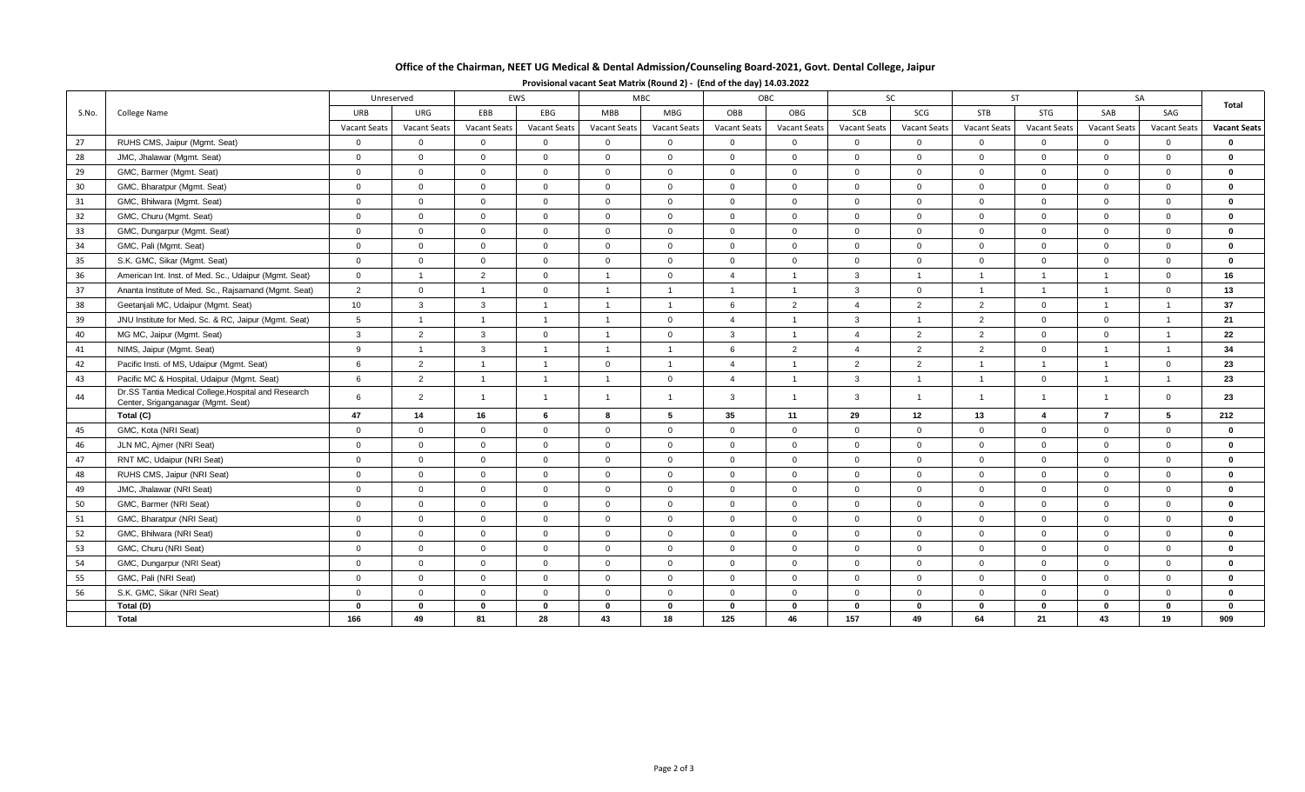## **Office of the Chairman, NEET UG Medical & Dental Admission/Counseling Board-2021, Govt. Dental College, Jaipur**

|       | College Name                                                                              | EWS<br>Unreserved   |                     |                     | <b>MBC</b>          |                |                | OBC                 |                | SC             |                     | <b>ST</b>           |                      | SA             |                     |                     |
|-------|-------------------------------------------------------------------------------------------|---------------------|---------------------|---------------------|---------------------|----------------|----------------|---------------------|----------------|----------------|---------------------|---------------------|----------------------|----------------|---------------------|---------------------|
| S.No. |                                                                                           | URB                 | URG                 | EBB                 | EBG                 | <b>MBB</b>     | <b>MBG</b>     | OBB                 | OBG            | SCB            | SCG                 | <b>STB</b>          | STG                  | SAB            | SAG                 | Total               |
|       |                                                                                           | <b>Vacant Seats</b> | <b>Vacant Seats</b> | <b>Vacant Seats</b> | <b>Vacant Seats</b> | Vacant Seats   | Vacant Seats   | <b>Vacant Seats</b> | Vacant Seats   | Vacant Seats   | <b>Vacant Seats</b> | <b>Vacant Seats</b> | Vacant Seats         | Vacant Seats   | <b>Vacant Seats</b> | <b>Vacant Seats</b> |
| 27    | RUHS CMS, Jaipur (Mgmt. Seat)                                                             | $\Omega$            | $\Omega$            | $\Omega$            | $\Omega$            | $\Omega$       | $\Omega$       | $\Omega$            | $\Omega$       | $\overline{0}$ | $\mathbf 0$         | $\mathbf{0}$        | $\overline{0}$       | $\Omega$       | $\Omega$            | $\mathbf{0}$        |
| 28    | JMC, Jhalawar (Mgmt. Seat)                                                                | $\mathbf 0$         | $\overline{0}$      | $\overline{0}$      | $\overline{0}$      | $\overline{0}$ | $\overline{0}$ | $\overline{0}$      | $\mathbf{0}$   | $\overline{0}$ | $\mathbf{0}$        | $\overline{0}$      | $\overline{0}$       | $\overline{0}$ | $\overline{0}$      | $\bf{0}$            |
| 29    | GMC, Barmer (Mgmt. Seat)                                                                  | $\mathbf 0$         | $\overline{0}$      | $\mathbf{0}$        | $\overline{0}$      | $\mathbf 0$    | $\overline{0}$ | $\Omega$            | $\mathbf 0$    | $\overline{0}$ | $\mathbf{0}$        | $\overline{0}$      | $\overline{0}$       | $\overline{0}$ | $\overline{0}$      | $\bf{0}$            |
| 30    | GMC, Bharatpur (Mgmt. Seat)                                                               | $\mathbf 0$         | $\overline{0}$      | $\mathbf 0$         | $\overline{0}$      | $\mathbf 0$    | $\Omega$       | $\Omega$            | $\mathbf 0$    | $\overline{0}$ | $\mathbf 0$         | $\overline{0}$      | $\overline{0}$       | $\overline{0}$ | $\overline{0}$      | $\bf{0}$            |
| 31    | GMC, Bhilwara (Mgmt. Seat)                                                                | $\overline{0}$      | $\overline{0}$      | $\overline{0}$      | $\overline{0}$      | $\mathbf{0}$   | $\overline{0}$ | $\Omega$            | $\mathbf{0}$   | $\overline{0}$ | $\overline{0}$      | $\overline{0}$      | $\overline{0}$       | $\overline{0}$ | $\overline{0}$      | $\bf{0}$            |
| 32    | GMC, Churu (Mgmt. Seat)                                                                   | $\overline{0}$      | $\overline{0}$      | $\overline{0}$      | $\overline{0}$      | $\mathbf{0}$   | $\overline{0}$ | $\mathbf{0}$        | $\mathbf{0}$   | $\overline{0}$ | $\overline{0}$      | $\overline{0}$      | $\overline{0}$       | $\overline{0}$ | $\overline{0}$      | $\bf{0}$            |
| 33    | GMC, Dungarpur (Mgmt. Seat)                                                               | $\overline{0}$      | $\overline{0}$      | $\overline{0}$      | $\overline{0}$      | $\mathbf 0$    | $\overline{0}$ | $\overline{0}$      | $\mathbf 0$    | $\mathbf 0$    | $\mathbf{0}$        | $\overline{0}$      | $\overline{0}$       | $\overline{0}$ | $\overline{0}$      | $\bf{0}$            |
| 34    | GMC, Pali (Mgmt. Seat)                                                                    | $\overline{0}$      | $\overline{0}$      | $\mathbf{0}$        | $\overline{0}$      | $\mathbf 0$    | $\overline{0}$ | $\overline{0}$      | $\mathbf 0$    | $\overline{0}$ | $\mathbf 0$         | $\overline{0}$      | $\overline{0}$       | $\overline{0}$ | $\overline{0}$      | $\bf{0}$            |
| 35    | S.K. GMC, Sikar (Mgmt. Seat)                                                              | $\mathbf 0$         | $\overline{0}$      | $\mathbf{0}$        | $\overline{0}$      | $\mathbf 0$    | $\overline{0}$ | $\Omega$            | $\mathbf 0$    | $\overline{0}$ | $\mathbf 0$         | $\overline{0}$      | $\overline{0}$       | $\overline{0}$ | $\overline{0}$      | $\Omega$            |
| 36    | American Int. Inst. of Med. Sc., Udaipur (Mgmt. Seat)                                     | $\overline{0}$      | $\overline{1}$      | 2                   | $\Omega$            | $\overline{1}$ | $\Omega$       | $\overline{4}$      | $\overline{1}$ | $\overline{3}$ | $\overline{1}$      | $\overline{1}$      | $\blacktriangleleft$ | $\overline{1}$ | $\Omega$            | 16                  |
| 37    | Ananta Institute of Med. Sc., Rajsamand (Mgmt. Seat)                                      | 2                   | $\overline{0}$      | $\overline{1}$      | $\overline{0}$      | $\overline{1}$ | $\overline{1}$ | $\overline{1}$      | $\overline{1}$ | $\overline{3}$ | $\mathbf{0}$        | $\overline{1}$      | $\overline{1}$       | $\overline{1}$ | $\overline{0}$      | 13                  |
| 38    | Geetanjali MC, Udaipur (Mgmt. Seat)                                                       | 10                  | 3                   | $\mathbf{3}$        | $\overline{1}$      | $\overline{1}$ | $\overline{1}$ | 6                   | $\overline{2}$ | $\overline{4}$ | 2                   | 2                   | $\overline{0}$       | $\overline{1}$ | $\overline{1}$      | 37                  |
| 39    | JNU Institute for Med. Sc. & RC, Jaipur (Mgmt. Seat)                                      | 5                   | $\overline{1}$      | $\overline{1}$      | $\overline{1}$      | $\overline{1}$ | $\overline{0}$ | $\mathbf{A}$        | $\overline{1}$ | $\mathbf{3}$   | $\overline{1}$      | 2                   | $\overline{0}$       | $\overline{0}$ | $\overline{1}$      | 21                  |
| 40    | MG MC, Jaipur (Mgmt. Seat)                                                                | $\mathbf{3}$        | 2                   | $\mathbf{3}$        | $\overline{0}$      | $\overline{1}$ | $\overline{0}$ | $\mathbf{3}$        | $\overline{1}$ | $\overline{4}$ | 2                   | 2                   | $\overline{0}$       | $\overline{0}$ | $\overline{1}$      | 22                  |
| 41    | NIMS, Jaipur (Mgmt. Seat)                                                                 | 9                   | $\overline{1}$      | 3                   | $\overline{1}$      | $\overline{1}$ | $\overline{1}$ | $\epsilon$          | $\overline{2}$ | $\overline{4}$ | 2                   | 2                   | $\overline{0}$       | $\overline{1}$ |                     | 34                  |
| 42    | Pacific Insti. of MS, Udaipur (Mgmt. Seat)                                                | 6                   | 2                   | $\overline{1}$      | $\overline{1}$      | $\overline{0}$ | $\overline{1}$ | $\overline{4}$      | $\overline{1}$ | 2              | 2                   | $\overline{1}$      | $\overline{1}$       | $\overline{1}$ | $\mathbf 0$         | 23                  |
| 43    | Pacific MC & Hospital, Udaipur (Mgmt. Seat)                                               | 6                   | $\overline{2}$      | $\overline{1}$      | $\overline{1}$      | $\overline{1}$ | $\overline{0}$ | $\overline{4}$      | $\overline{1}$ | 3              | $\overline{1}$      | $\overline{1}$      | $\mathbf 0$          | $\overline{1}$ | $\overline{1}$      | 23                  |
| 44    | Dr.SS Tantia Medical College, Hospital and Research<br>Center, Sriganganagar (Mgmt. Seat) | 6                   | 2                   | $\overline{1}$      | $\overline{1}$      | $\overline{1}$ | $\overline{1}$ | $\mathbf{3}$        | $\overline{1}$ | $\mathbf{3}$   | $\overline{1}$      | $\overline{1}$      | $\overline{1}$       | $\overline{1}$ | $\overline{0}$      | 23                  |
|       | Total (C)                                                                                 | 47                  | 14                  | 16                  | 6                   | 8              | 5              | 35                  | 11             | 29             | 12                  | 13                  | $\overline{4}$       | $\overline{7}$ | $5\overline{5}$     | 212                 |
| 45    | GMC, Kota (NRI Seat)                                                                      | $\mathbf 0$         | $\overline{0}$      | $\mathbf{0}$        | $\Omega$            | $\overline{0}$ | $\Omega$       | $\Omega$            | $\mathbf 0$    | $\Omega$       | $\mathbf{0}$        | $\overline{0}$      | $\overline{0}$       | $\overline{0}$ | $\Omega$            | $\bf{0}$            |
| 46    | JLN MC, Ajmer (NRI Seat)                                                                  | $\overline{0}$      | $\overline{0}$      | $\overline{0}$      | $\overline{0}$      | $\overline{0}$ | $\overline{0}$ | $\mathbf{0}$        | $\mathbf{0}$   | $\overline{0}$ | $\overline{0}$      | $\overline{0}$      | $\overline{0}$       | $\overline{0}$ | $\overline{0}$      | $\bf{0}$            |
| 47    | RNT MC, Udaipur (NRI Seat)                                                                | $\overline{0}$      | $\overline{0}$      | $\mathbf{0}$        | $\overline{0}$      | $\mathbf 0$    | $\overline{0}$ | $\Omega$            | $\Omega$       | $\Omega$       | $\mathbf{0}$        | $\Omega$            | $\Omega$             | $\Omega$       | $\overline{0}$      | $\bf{0}$            |
| 48    | RUHS CMS, Jaipur (NRI Seat)                                                               | $\overline{0}$      | $\overline{0}$      | $\mathbf 0$         | $\overline{0}$      | $\mathbf{0}$   | $\overline{0}$ | $\Omega$            | $\mathbf 0$    | $\overline{0}$ | $\mathbf 0$         | $\overline{0}$      | $\overline{0}$       | $\overline{0}$ | $\overline{0}$      | $\mathbf 0$         |
| 49    | JMC, Jhalawar (NRI Seat)                                                                  | $\overline{0}$      | $\overline{0}$      | $\overline{0}$      | $\overline{0}$      | $\mathbf{0}$   | $\overline{0}$ | $\Omega$            | $\mathbf{0}$   | $\overline{0}$ | $\mathbf{0}$        | $\overline{0}$      | $\overline{0}$       | $\overline{0}$ | $\overline{0}$      | $\bf{0}$            |
| 50    | GMC, Barmer (NRI Seat)                                                                    | $\mathbf 0$         | $\overline{0}$      | $\mathbf{0}$        | $\overline{0}$      | $\mathbf{0}$   | $\overline{0}$ | $\Omega$            | $\mathbf 0$    | $\overline{0}$ | $\mathbf{0}$        | $\overline{0}$      | $\overline{0}$       | $\overline{0}$ | $\overline{0}$      | $\bf{0}$            |
| 51    | GMC, Bharatpur (NRI Seat)                                                                 | $\mathbf 0$         | $\overline{0}$      | $\overline{0}$      | $\mathbf 0$         | $\mathbf{0}$   | $\overline{0}$ | $\overline{0}$      | $\mathbf{0}$   | $\mathbf 0$    | $\mathbf{0}$        | $\overline{0}$      | $\overline{0}$       | $\overline{0}$ | $\mathbf 0$         | $\bf{0}$            |
| 52    | GMC, Bhilwara (NRI Seat)                                                                  | $\mathbf 0$         | $\overline{0}$      | $\overline{0}$      | $\Omega$            | $\Omega$       | $\overline{0}$ | $\Omega$            | $\mathbf 0$    | $\overline{0}$ | $\Omega$            | $\overline{0}$      | $\overline{0}$       | $\overline{0}$ | $\overline{0}$      | $\bf{0}$            |
| 53    | GMC, Churu (NRI Seat)                                                                     | $\overline{0}$      | $\overline{0}$      | $\overline{0}$      | $\overline{0}$      | $\mathbf 0$    | $\overline{0}$ | $\overline{0}$      | $\mathbf{0}$   | $\overline{0}$ | $\mathbf 0$         | $\overline{0}$      | $\overline{0}$       | $\overline{0}$ | $\overline{0}$      | $\bf{0}$            |
| 54    | GMC, Dungarpur (NRI Seat)                                                                 | $\overline{0}$      | $\Omega$            | $\overline{0}$      | $\Omega$            | $\Omega$       | $\Omega$       | $\Omega$            | $\mathbf{0}$   | $\Omega$       | $\Omega$            | $\Omega$            | $\overline{0}$       | $\Omega$       | $\Omega$            | $\mathbf{0}$        |
| 55    | GMC, Pali (NRI Seat)                                                                      | $\mathbf 0$         | $\overline{0}$      | $\mathbf{0}$        | $\Omega$            | $\mathbf 0$    | $\Omega$       | $\Omega$            | $\mathbf{0}$   | $\Omega$       | $\Omega$            | $\Omega$            | $\overline{0}$       | $\Omega$       | $\Omega$            | $\mathbf{0}$        |
| 56    | S.K. GMC, Sikar (NRI Seat)                                                                | $\overline{0}$      | $\overline{0}$      | $\overline{0}$      | $\overline{0}$      | $\overline{0}$ | $\overline{0}$ | $\mathbf{0}$        | $\mathbf{0}$   | $\overline{0}$ | $\mathbf{0}$        | $\overline{0}$      | $\overline{0}$       | $\overline{0}$ | $\mathbf{0}$        | $\bf{0}$            |
|       | Total (D)                                                                                 | $\mathbf 0$         | $\Omega$            | $\bf{0}$            | $\Omega$            | $\mathbf 0$    | $\mathbf 0$    | $\mathbf{0}$        | $\mathbf{0}$   | $\Omega$       | $\mathbf 0$         | $\mathbf 0$         | $\mathbf 0$          | $\mathbf{0}$   | $\mathbf{0}$        | $\Omega$            |
|       | <b>Total</b>                                                                              | 166                 | 49                  | 81                  | 28                  | 43             | 18             | 125                 | 46             | 157            | 49                  | 64                  | 21                   | 43             | 19                  | 909                 |

## **Provisional vacant Seat Matrix (Round 2) - (End of the day) 14.03.2022**